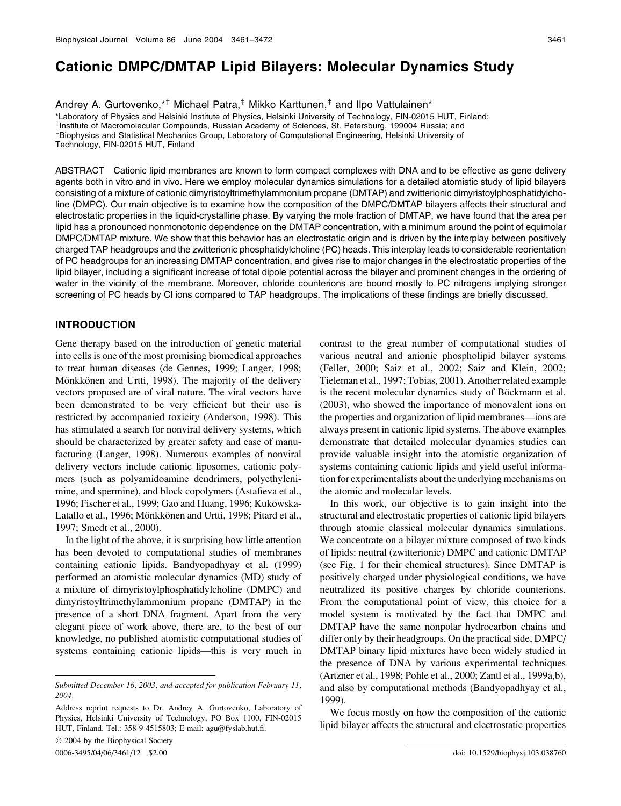# Cationic DMPC/DMTAP Lipid Bilayers: Molecular Dynamics Study

Andrey A. Gurtovenko,\*<sup>†</sup> Michael Patra, $*$  Mikko Karttunen, $*$  and Ilpo Vattulainen\*

\*Laboratory of Physics and Helsinki Institute of Physics, Helsinki University of Technology, FIN-02015 HUT, Finland; <sup>†</sup> Institute of Macromolecular Compounds, Russian Academy of Sciences, St. Petersburg, 199004 Russia; and z Biophysics and Statistical Mechanics Group, Laboratory of Computational Engineering, Helsinki University of Technology, FIN-02015 HUT, Finland

ABSTRACT Cationic lipid membranes are known to form compact complexes with DNA and to be effective as gene delivery agents both in vitro and in vivo. Here we employ molecular dynamics simulations for a detailed atomistic study of lipid bilayers consisting of a mixture of cationic dimyristoyltrimethylammonium propane (DMTAP) and zwitterionic dimyristoylphosphatidylcholine (DMPC). Our main objective is to examine how the composition of the DMPC/DMTAP bilayers affects their structural and electrostatic properties in the liquid-crystalline phase. By varying the mole fraction of DMTAP, we have found that the area per lipid has a pronounced nonmonotonic dependence on the DMTAP concentration, with a minimum around the point of equimolar DMPC/DMTAP mixture. We show that this behavior has an electrostatic origin and is driven by the interplay between positively charged TAP headgroups and the zwitterionic phosphatidylcholine (PC) heads. This interplay leads to considerable reorientation of PC headgroups for an increasing DMTAP concentration, and gives rise to major changes in the electrostatic properties of the lipid bilayer, including a significant increase of total dipole potential across the bilayer and prominent changes in the ordering of water in the vicinity of the membrane. Moreover, chloride counterions are bound mostly to PC nitrogens implying stronger screening of PC heads by Cl ions compared to TAP headgroups. The implications of these findings are briefly discussed.

## INTRODUCTION

Gene therapy based on the introduction of genetic material into cells is one of the most promising biomedical approaches to treat human diseases (de Gennes, 1999; Langer, 1998; Mönkkönen and Urtti, 1998). The majority of the delivery vectors proposed are of viral nature. The viral vectors have been demonstrated to be very efficient but their use is restricted by accompanied toxicity (Anderson, 1998). This has stimulated a search for nonviral delivery systems, which should be characterized by greater safety and ease of manufacturing (Langer, 1998). Numerous examples of nonviral delivery vectors include cationic liposomes, cationic polymers (such as polyamidoamine dendrimers, polyethylenimine, and spermine), and block copolymers (Astafieva et al., 1996; Fischer et al., 1999; Gao and Huang, 1996; Kukowska-Latallo et al., 1996; Mönkkönen and Urtti, 1998; Pitard et al., 1997; Smedt et al., 2000).

In the light of the above, it is surprising how little attention has been devoted to computational studies of membranes containing cationic lipids. Bandyopadhyay et al. (1999) performed an atomistic molecular dynamics (MD) study of a mixture of dimyristoylphosphatidylcholine (DMPC) and dimyristoyltrimethylammonium propane (DMTAP) in the presence of a short DNA fragment. Apart from the very elegant piece of work above, there are, to the best of our knowledge, no published atomistic computational studies of systems containing cationic lipids—this is very much in

2004 by the Biophysical Society

0006-3495/04/06/3461/12 \$2.00 doi: 10.1529/biophysj.103.038760

contrast to the great number of computational studies of various neutral and anionic phospholipid bilayer systems (Feller, 2000; Saiz et al., 2002; Saiz and Klein, 2002; Tieleman et al., 1997; Tobias, 2001). Another related example is the recent molecular dynamics study of Böckmann et al. (2003), who showed the importance of monovalent ions on the properties and organization of lipid membranes—ions are always present in cationic lipid systems. The above examples demonstrate that detailed molecular dynamics studies can provide valuable insight into the atomistic organization of systems containing cationic lipids and yield useful information for experimentalists about the underlying mechanisms on the atomic and molecular levels.

In this work, our objective is to gain insight into the structural and electrostatic properties of cationic lipid bilayers through atomic classical molecular dynamics simulations. We concentrate on a bilayer mixture composed of two kinds of lipids: neutral (zwitterionic) DMPC and cationic DMTAP (see Fig. 1 for their chemical structures). Since DMTAP is positively charged under physiological conditions, we have neutralized its positive charges by chloride counterions. From the computational point of view, this choice for a model system is motivated by the fact that DMPC and DMTAP have the same nonpolar hydrocarbon chains and differ only by their headgroups. On the practical side, DMPC/ DMTAP binary lipid mixtures have been widely studied in the presence of DNA by various experimental techniques (Artzner et al., 1998; Pohle et al., 2000; Zantl et al., 1999a,b), and also by computational methods (Bandyopadhyay et al., 1999).

We focus mostly on how the composition of the cationic lipid bilayer affects the structural and electrostatic properties

Submitted December 16, 2003, and accepted for publication February 11, 2004.

Address reprint requests to Dr. Andrey A. Gurtovenko, Laboratory of Physics, Helsinki University of Technology, PO Box 1100, FIN-02015 HUT, Finland. Tel.: 358-9-4515803; E-mail: agu@fyslab.hut.fi.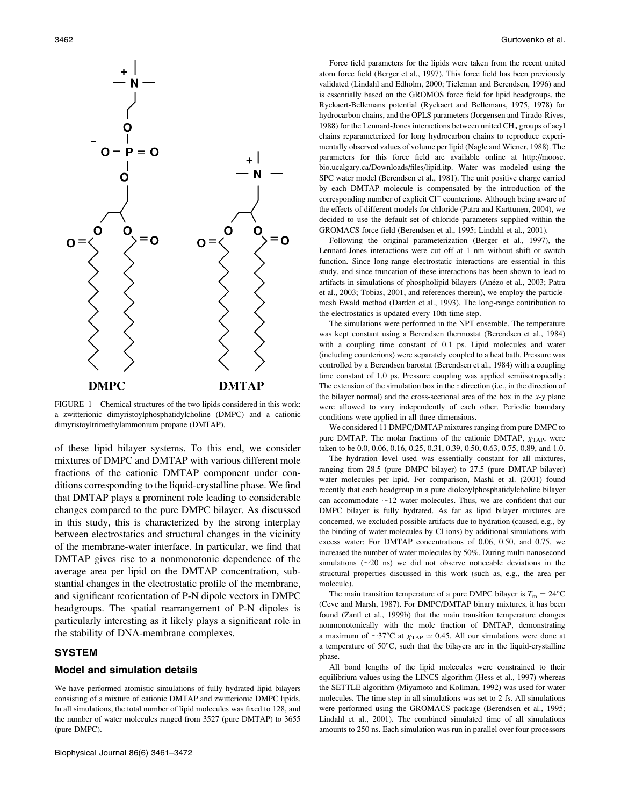

FIGURE 1 Chemical structures of the two lipids considered in this work: a zwitterionic dimyristoylphosphatidylcholine (DMPC) and a cationic dimyristoyltrimethylammonium propane (DMTAP).

of these lipid bilayer systems. To this end, we consider mixtures of DMPC and DMTAP with various different mole fractions of the cationic DMTAP component under conditions corresponding to the liquid-crystalline phase. We find that DMTAP plays a prominent role leading to considerable changes compared to the pure DMPC bilayer. As discussed in this study, this is characterized by the strong interplay between electrostatics and structural changes in the vicinity of the membrane-water interface. In particular, we find that DMTAP gives rise to a nonmonotonic dependence of the average area per lipid on the DMTAP concentration, substantial changes in the electrostatic profile of the membrane, and significant reorientation of P-N dipole vectors in DMPC headgroups. The spatial rearrangement of P-N dipoles is particularly interesting as it likely plays a significant role in the stability of DNA-membrane complexes.

## **SYSTEM**

#### Model and simulation details

We have performed atomistic simulations of fully hydrated lipid bilayers consisting of a mixture of cationic DMTAP and zwitterionic DMPC lipids. In all simulations, the total number of lipid molecules was fixed to 128, and the number of water molecules ranged from 3527 (pure DMTAP) to 3655 (pure DMPC).

Force field parameters for the lipids were taken from the recent united atom force field (Berger et al., 1997). This force field has been previously validated (Lindahl and Edholm, 2000; Tieleman and Berendsen, 1996) and is essentially based on the GROMOS force field for lipid headgroups, the Ryckaert-Bellemans potential (Ryckaert and Bellemans, 1975, 1978) for hydrocarbon chains, and the OPLS parameters (Jorgensen and Tirado-Rives, 1988) for the Lennard-Jones interactions between united  $CH<sub>n</sub>$  groups of acyl chains reparameterized for long hydrocarbon chains to reproduce experimentally observed values of volume per lipid (Nagle and Wiener, 1988). The parameters for this force field are available online at http://moose. bio.ucalgary.ca/Downloads/files/lipid.itp. Water was modeled using the SPC water model (Berendsen et al., 1981). The unit positive charge carried by each DMTAP molecule is compensated by the introduction of the corresponding number of explicit  $Cl^-$  counterions. Although being aware of the effects of different models for chloride (Patra and Karttunen, 2004), we decided to use the default set of chloride parameters supplied within the GROMACS force field (Berendsen et al., 1995; Lindahl et al., 2001).

Following the original parameterization (Berger et al., 1997), the Lennard-Jones interactions were cut off at 1 nm without shift or switch function. Since long-range electrostatic interactions are essential in this study, and since truncation of these interactions has been shown to lead to artifacts in simulations of phospholipid bilayers (Anézo et al., 2003; Patra et al., 2003; Tobias, 2001, and references therein), we employ the particlemesh Ewald method (Darden et al., 1993). The long-range contribution to the electrostatics is updated every 10th time step.

The simulations were performed in the NPT ensemble. The temperature was kept constant using a Berendsen thermostat (Berendsen et al., 1984) with a coupling time constant of 0.1 ps. Lipid molecules and water (including counterions) were separately coupled to a heat bath. Pressure was controlled by a Berendsen barostat (Berendsen et al., 1984) with a coupling time constant of 1.0 ps. Pressure coupling was applied semiisotropically: The extension of the simulation box in the z direction (i.e., in the direction of the bilayer normal) and the cross-sectional area of the box in the  $x$ -y plane were allowed to vary independently of each other. Periodic boundary conditions were applied in all three dimensions.

We considered 11 DMPC/DMTAP mixtures ranging from pure DMPC to pure DMTAP. The molar fractions of the cationic DMTAP,  $\chi_{\text{TAP}}$ , were taken to be 0.0, 0.06, 0.16, 0.25, 0.31, 0.39, 0.50, 0.63, 0.75, 0.89, and 1.0.

The hydration level used was essentially constant for all mixtures, ranging from 28.5 (pure DMPC bilayer) to 27.5 (pure DMTAP bilayer) water molecules per lipid. For comparison, Mashl et al. (2001) found recently that each headgroup in a pure dioleoylphosphatidylcholine bilayer can accommodate  $\sim$ 12 water molecules. Thus, we are confident that our DMPC bilayer is fully hydrated. As far as lipid bilayer mixtures are concerned, we excluded possible artifacts due to hydration (caused, e.g., by the binding of water molecules by Cl ions) by additional simulations with excess water: For DMTAP concentrations of 0.06, 0.50, and 0.75, we increased the number of water molecules by 50%. During multi-nanosecond simulations  $(\sim 20 \text{ ns})$  we did not observe noticeable deviations in the structural properties discussed in this work (such as, e.g., the area per molecule).

The main transition temperature of a pure DMPC bilayer is  $T_m = 24^{\circ}$ C (Cevc and Marsh, 1987). For DMPC/DMTAP binary mixtures, it has been found (Zantl et al., 1999b) that the main transition temperature changes nonmonotonically with the mole fraction of DMTAP, demonstrating a maximum of  $\sim$ 37°C at  $\chi_{\text{TAP}} \simeq 0.45$ . All our simulations were done at a temperature of  $50^{\circ}$ C, such that the bilayers are in the liquid-crystalline phase.

All bond lengths of the lipid molecules were constrained to their equilibrium values using the LINCS algorithm (Hess et al., 1997) whereas the SETTLE algorithm (Miyamoto and Kollman, 1992) was used for water molecules. The time step in all simulations was set to 2 fs. All simulations were performed using the GROMACS package (Berendsen et al., 1995; Lindahl et al., 2001). The combined simulated time of all simulations amounts to 250 ns. Each simulation was run in parallel over four processors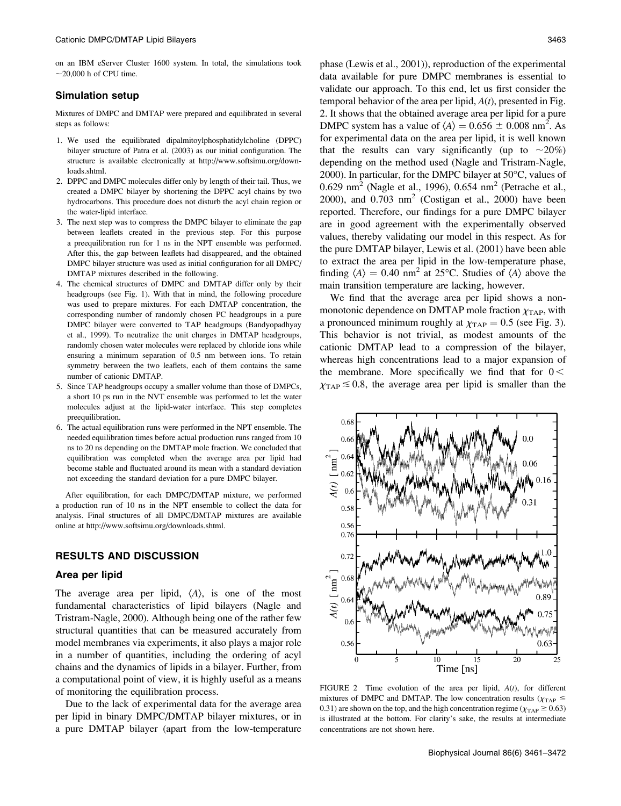on an IBM eServer Cluster 1600 system. In total, the simulations took  $\sim$ 20,000 h of CPU time.

#### Simulation setup

Mixtures of DMPC and DMTAP were prepared and equilibrated in several steps as follows:

- 1. We used the equilibrated dipalmitoylphosphatidylcholine (DPPC) bilayer structure of Patra et al. (2003) as our initial configuration. The structure is available electronically at http://www.softsimu.org/downloads.shtml.
- 2. DPPC and DMPC molecules differ only by length of their tail. Thus, we created a DMPC bilayer by shortening the DPPC acyl chains by two hydrocarbons. This procedure does not disturb the acyl chain region or the water-lipid interface.
- 3. The next step was to compress the DMPC bilayer to eliminate the gap between leaflets created in the previous step. For this purpose a preequilibration run for 1 ns in the NPT ensemble was performed. After this, the gap between leaflets had disappeared, and the obtained DMPC bilayer structure was used as initial configuration for all DMPC/ DMTAP mixtures described in the following.
- 4. The chemical structures of DMPC and DMTAP differ only by their headgroups (see Fig. 1). With that in mind, the following procedure was used to prepare mixtures. For each DMTAP concentration, the corresponding number of randomly chosen PC headgroups in a pure DMPC bilayer were converted to TAP headgroups (Bandyopadhyay et al., 1999). To neutralize the unit charges in DMTAP headgroups, randomly chosen water molecules were replaced by chloride ions while ensuring a minimum separation of 0.5 nm between ions. To retain symmetry between the two leaflets, each of them contains the same number of cationic DMTAP.
- 5. Since TAP headgroups occupy a smaller volume than those of DMPCs, a short 10 ps run in the NVT ensemble was performed to let the water molecules adjust at the lipid-water interface. This step completes preequilibration.
- 6. The actual equilibration runs were performed in the NPT ensemble. The needed equilibration times before actual production runs ranged from 10 ns to 20 ns depending on the DMTAP mole fraction. We concluded that equilibration was completed when the average area per lipid had become stable and fluctuated around its mean with a standard deviation not exceeding the standard deviation for a pure DMPC bilayer.

After equilibration, for each DMPC/DMTAP mixture, we performed a production run of 10 ns in the NPT ensemble to collect the data for analysis. Final structures of all DMPC/DMTAP mixtures are available online at http://www.softsimu.org/downloads.shtml.

#### RESULTS AND DISCUSSION

#### Area per lipid

The average area per lipid,  $\langle A \rangle$ , is one of the most fundamental characteristics of lipid bilayers (Nagle and Tristram-Nagle, 2000). Although being one of the rather few structural quantities that can be measured accurately from model membranes via experiments, it also plays a major role in a number of quantities, including the ordering of acyl chains and the dynamics of lipids in a bilayer. Further, from a computational point of view, it is highly useful as a means of monitoring the equilibration process.

Due to the lack of experimental data for the average area per lipid in binary DMPC/DMTAP bilayer mixtures, or in a pure DMTAP bilayer (apart from the low-temperature

phase (Lewis et al., 2001)), reproduction of the experimental data available for pure DMPC membranes is essential to validate our approach. To this end, let us first consider the temporal behavior of the area per lipid,  $A(t)$ , presented in Fig. 2. It shows that the obtained average area per lipid for a pure DMPC system has a value of  $\langle A \rangle = 0.656 \pm 0.008$  nm<sup>2</sup>. As for experimental data on the area per lipid, it is well known that the results can vary significantly (up to  $\sim 20\%$ ) depending on the method used (Nagle and Tristram-Nagle, 2000). In particular, for the DMPC bilayer at  $50^{\circ}$ C, values of 0.629 nm<sup>2</sup> (Nagle et al., 1996), 0.654 nm<sup>2</sup> (Petrache et al., 2000), and  $0.703 \text{ nm}^2$  (Costigan et al., 2000) have been reported. Therefore, our findings for a pure DMPC bilayer are in good agreement with the experimentally observed values, thereby validating our model in this respect. As for the pure DMTAP bilayer, Lewis et al. (2001) have been able to extract the area per lipid in the low-temperature phase, finding  $\langle A \rangle = 0.40$  nm<sup>2</sup> at 25°C. Studies of  $\langle A \rangle$  above the main transition temperature are lacking, however.

We find that the average area per lipid shows a nonmonotonic dependence on DMTAP mole fraction  $\chi_{\text{TAP}}$ , with a pronounced minimum roughly at  $\chi_{\text{TAP}} = 0.5$  (see Fig. 3). This behavior is not trivial, as modest amounts of the cationic DMTAP lead to a compression of the bilayer, whereas high concentrations lead to a major expansion of the membrane. More specifically we find that for  $0 <$  $\chi_{\text{TAP}} \lesssim 0.8$ , the average area per lipid is smaller than the



FIGURE 2 Time evolution of the area per lipid,  $A(t)$ , for different mixtures of DMPC and DMTAP. The low concentration results ( $\chi_{\text{TAP}} \leq$ 0.31) are shown on the top, and the high concentration regime ( $\chi_{TAP} \ge 0.63$ ) is illustrated at the bottom. For clarity's sake, the results at intermediate concentrations are not shown here.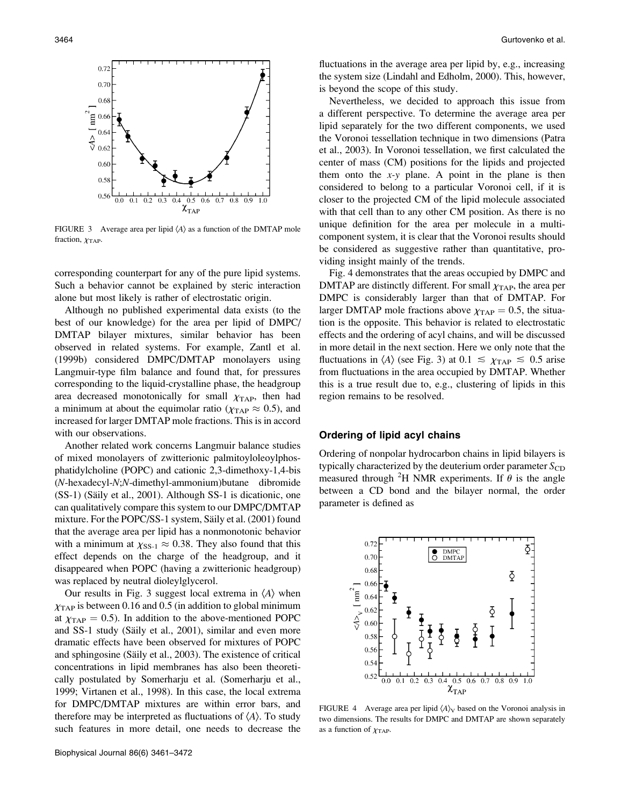

FIGURE 3 Average area per lipid  $\langle A \rangle$  as a function of the DMTAP mole fraction,  $\chi_{\text{TAP}}$ .

corresponding counterpart for any of the pure lipid systems. Such a behavior cannot be explained by steric interaction alone but most likely is rather of electrostatic origin.

Although no published experimental data exists (to the best of our knowledge) for the area per lipid of DMPC/ DMTAP bilayer mixtures, similar behavior has been observed in related systems. For example, Zantl et al. (1999b) considered DMPC/DMTAP monolayers using Langmuir-type film balance and found that, for pressures corresponding to the liquid-crystalline phase, the headgroup area decreased monotonically for small  $\chi_{\text{TAP}}$ , then had a minimum at about the equimolar ratio ( $\chi_{\text{TAP}} \approx 0.5$ ), and increased for larger DMTAP mole fractions. This is in accord with our observations.

Another related work concerns Langmuir balance studies of mixed monolayers of zwitterionic palmitoyloleoylphosphatidylcholine (POPC) and cationic 2,3-dimethoxy-1,4-bis (N-hexadecyl-N;N-dimethyl-ammonium)butane dibromide (SS-1) (Säily et al., 2001). Although SS-1 is dicationic, one can qualitatively compare this system to our DMPC/DMTAP mixture. For the POPC/SS-1 system, Säily et al. (2001) found that the average area per lipid has a nonmonotonic behavior with a minimum at  $\chi_{SS-1} \approx 0.38$ . They also found that this effect depends on the charge of the headgroup, and it disappeared when POPC (having a zwitterionic headgroup) was replaced by neutral dioleylglycerol.

Our results in Fig. 3 suggest local extrema in  $\langle A \rangle$  when  $\chi_{\text{TAP}}$  is between 0.16 and 0.5 (in addition to global minimum at  $\chi_{\text{TAP}} = 0.5$ . In addition to the above-mentioned POPC and SS-1 study (Säily et al., 2001), similar and even more dramatic effects have been observed for mixtures of POPC and sphingosine (Säily et al., 2003). The existence of critical concentrations in lipid membranes has also been theoretically postulated by Somerharju et al. (Somerharju et al., 1999; Virtanen et al., 1998). In this case, the local extrema for DMPC/DMTAP mixtures are within error bars, and therefore may be interpreted as fluctuations of  $\langle A \rangle$ . To study such features in more detail, one needs to decrease the

fluctuations in the average area per lipid by, e.g., increasing the system size (Lindahl and Edholm, 2000). This, however, is beyond the scope of this study.

Nevertheless, we decided to approach this issue from a different perspective. To determine the average area per lipid separately for the two different components, we used the Voronoi tessellation technique in two dimensions (Patra et al., 2003). In Voronoi tessellation, we first calculated the center of mass (CM) positions for the lipids and projected them onto the  $x-y$  plane. A point in the plane is then considered to belong to a particular Voronoi cell, if it is closer to the projected CM of the lipid molecule associated with that cell than to any other CM position. As there is no unique definition for the area per molecule in a multicomponent system, it is clear that the Voronoi results should be considered as suggestive rather than quantitative, providing insight mainly of the trends.

Fig. 4 demonstrates that the areas occupied by DMPC and DMTAP are distinctly different. For small  $\chi_{TAP}$ , the area per DMPC is considerably larger than that of DMTAP. For larger DMTAP mole fractions above  $\chi_{\text{TAP}} = 0.5$ , the situation is the opposite. This behavior is related to electrostatic effects and the ordering of acyl chains, and will be discussed in more detail in the next section. Here we only note that the fluctuations in  $\langle A \rangle$  (see Fig. 3) at  $0.1 \leq \chi_{TAP} \leq 0.5$  arise from fluctuations in the area occupied by DMTAP. Whether this is a true result due to, e.g., clustering of lipids in this region remains to be resolved.

#### Ordering of lipid acyl chains

Ordering of nonpolar hydrocarbon chains in lipid bilayers is typically characterized by the deuterium order parameter  $S_{CD}$ measured through <sup>2</sup>H NMR experiments. If  $\theta$  is the angle between a CD bond and the bilayer normal, the order parameter is defined as



FIGURE 4 Average area per lipid  $\langle A \rangle_V$  based on the Voronoi analysis in two dimensions. The results for DMPC and DMTAP are shown separately as a function of  $\chi_{\text{TAP}}$ .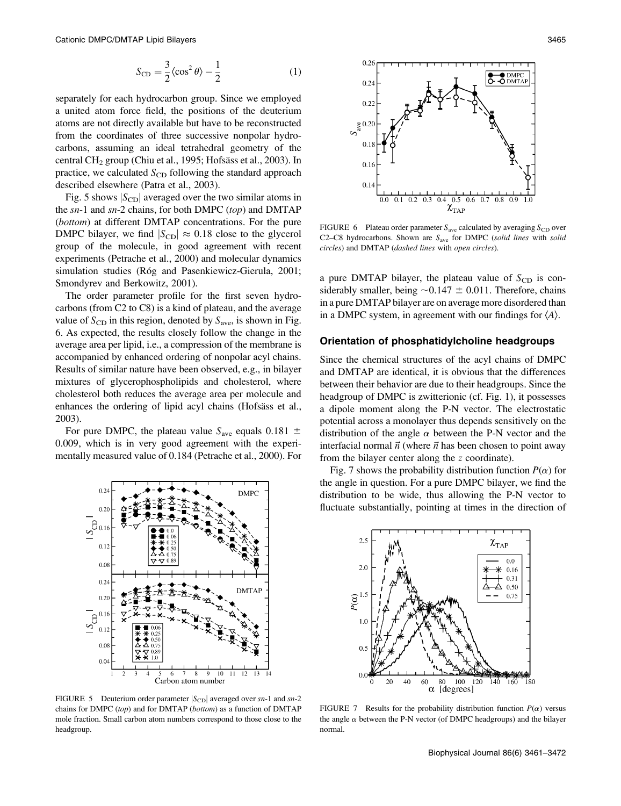$$
S_{\rm CD} = \frac{3}{2} \langle \cos^2 \theta \rangle - \frac{1}{2} \tag{1}
$$

separately for each hydrocarbon group. Since we employed a united atom force field, the positions of the deuterium atoms are not directly available but have to be reconstructed from the coordinates of three successive nonpolar hydrocarbons, assuming an ideal tetrahedral geometry of the central  $CH_2$  group (Chiu et al., 1995; Hofsäss et al., 2003). In practice, we calculated  $S_{CD}$  following the standard approach described elsewhere (Patra et al., 2003).

Fig. 5 shows  $|S_{CD}|$  averaged over the two similar atoms in the  $sn-1$  and  $sn-2$  chains, for both DMPC (top) and DMTAP (bottom) at different DMTAP concentrations. For the pure DMPC bilayer, we find  $|S_{CD}| \approx 0.18$  close to the glycerol group of the molecule, in good agreement with recent experiments (Petrache et al., 2000) and molecular dynamics simulation studies (Róg and Pasenkiewicz-Gierula, 2001; Smondyrev and Berkowitz, 2001).

The order parameter profile for the first seven hydrocarbons (from C2 to C8) is a kind of plateau, and the average value of  $S_{CD}$  in this region, denoted by  $S_{ave}$ , is shown in Fig. 6. As expected, the results closely follow the change in the average area per lipid, i.e., a compression of the membrane is accompanied by enhanced ordering of nonpolar acyl chains. Results of similar nature have been observed, e.g., in bilayer mixtures of glycerophospholipids and cholesterol, where cholesterol both reduces the average area per molecule and enhances the ordering of lipid acyl chains (Hofsäss et al., 2003).

For pure DMPC, the plateau value  $S_{\text{ave}}$  equals 0.181  $\pm$ 0.009, which is in very good agreement with the experimentally measured value of 0.184 (Petrache et al., 2000). For



FIGURE 5 Deuterium order parameter  $|S_{CD}|$  averaged over sn-1 and sn-2 chains for DMPC (top) and for DMTAP (bottom) as a function of DMTAP mole fraction. Small carbon atom numbers correspond to those close to the headgroup.



FIGURE 6 Plateau order parameter  $S_{\text{ave}}$  calculated by averaging  $S_{\text{CD}}$  over C2–C8 hydrocarbons. Shown are  $S_{\text{ave}}$  for DMPC (solid lines with solid circles) and DMTAP (dashed lines with open circles).

a pure DMTAP bilayer, the plateau value of  $S_{CD}$  is considerably smaller, being  $\sim 0.147 \pm 0.011$ . Therefore, chains in a pure DMTAP bilayer are on average more disordered than in a DMPC system, in agreement with our findings for  $\langle A \rangle$ .

#### Orientation of phosphatidylcholine headgroups

Since the chemical structures of the acyl chains of DMPC and DMTAP are identical, it is obvious that the differences between their behavior are due to their headgroups. Since the headgroup of DMPC is zwitterionic (cf. Fig. 1), it possesses a dipole moment along the P-N vector. The electrostatic potential across a monolayer thus depends sensitively on the distribution of the angle  $\alpha$  between the P-N vector and the interfacial normal  $\vec{n}$  (where  $\vec{n}$  has been chosen to point away from the bilayer center along the z coordinate).

Fig. 7 shows the probability distribution function  $P(\alpha)$  for the angle in question. For a pure DMPC bilayer, we find the distribution to be wide, thus allowing the P-N vector to fluctuate substantially, pointing at times in the direction of



FIGURE 7 Results for the probability distribution function  $P(\alpha)$  versus the angle  $\alpha$  between the P-N vector (of DMPC headgroups) and the bilayer normal.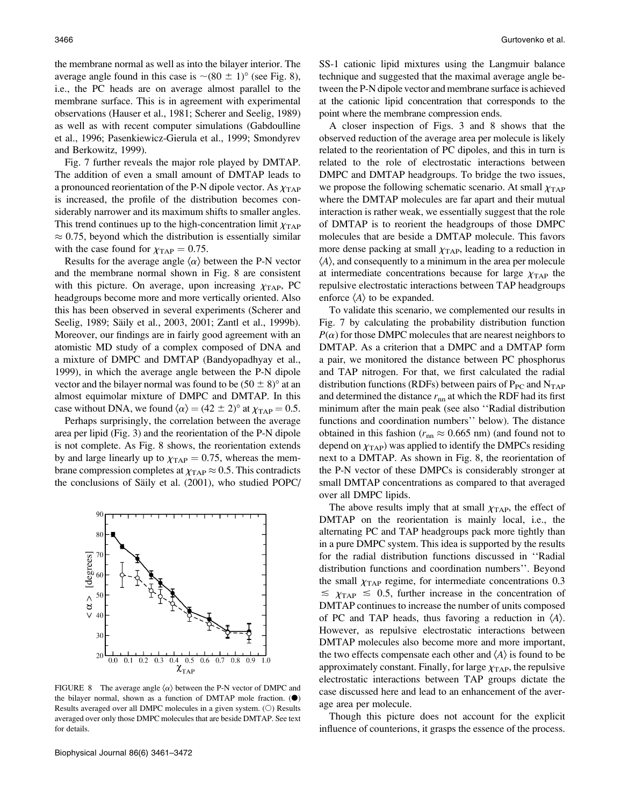the membrane normal as well as into the bilayer interior. The average angle found in this case is  $\sim (80 \pm 1)^{\circ}$  (see Fig. 8), i.e., the PC heads are on average almost parallel to the membrane surface. This is in agreement with experimental observations (Hauser et al., 1981; Scherer and Seelig, 1989) as well as with recent computer simulations (Gabdoulline et al., 1996; Pasenkiewicz-Gierula et al., 1999; Smondyrev and Berkowitz, 1999).

Fig. 7 further reveals the major role played by DMTAP. The addition of even a small amount of DMTAP leads to a pronounced reorientation of the P-N dipole vector. As  $\chi_{\text{TAP}}$ is increased, the profile of the distribution becomes considerably narrower and its maximum shifts to smaller angles. This trend continues up to the high-concentration limit  $\chi_{\text{TAP}}$  $\approx 0.75$ , beyond which the distribution is essentially similar with the case found for  $\chi_{\text{TAP}} = 0.75$ .

Results for the average angle  $\langle \alpha \rangle$  between the P-N vector and the membrane normal shown in Fig. 8 are consistent with this picture. On average, upon increasing  $\chi_{TAP}$ , PC headgroups become more and more vertically oriented. Also this has been observed in several experiments (Scherer and Seelig, 1989; Säily et al., 2003, 2001; Zantl et al., 1999b). Moreover, our findings are in fairly good agreement with an atomistic MD study of a complex composed of DNA and a mixture of DMPC and DMTAP (Bandyopadhyay et al., 1999), in which the average angle between the P-N dipole vector and the bilayer normal was found to be  $(50 \pm 8)^{\circ}$  at an almost equimolar mixture of DMPC and DMTAP. In this case without DNA, we found  $\langle \alpha \rangle = (42 \pm 2)^{\circ}$  at  $\chi_{\text{TAP}} = 0.5$ .

Perhaps surprisingly, the correlation between the average area per lipid (Fig. 3) and the reorientation of the P-N dipole is not complete. As Fig. 8 shows, the reorientation extends by and large linearly up to  $\chi_{\text{TAP}} = 0.75$ , whereas the membrane compression completes at  $\chi_{\rm TAP}$   $\approx$  0.5. This contradicts the conclusions of Säily et al. (2001), who studied POPC/



FIGURE 8 The average angle  $\langle \alpha \rangle$  between the P-N vector of DMPC and the bilayer normal, shown as a function of DMTAP mole fraction.  $(\bullet)$ Results averaged over all DMPC molecules in a given system.  $(O)$  Results averaged over only those DMPC molecules that are beside DMTAP. See text for details.

Biophysical Journal 86(6) 3461–3472

SS-1 cationic lipid mixtures using the Langmuir balance technique and suggested that the maximal average angle between the P-N dipole vector and membrane surface is achieved at the cationic lipid concentration that corresponds to the point where the membrane compression ends.

A closer inspection of Figs. 3 and 8 shows that the observed reduction of the average area per molecule is likely related to the reorientation of PC dipoles, and this in turn is related to the role of electrostatic interactions between DMPC and DMTAP headgroups. To bridge the two issues, we propose the following schematic scenario. At small  $\chi_{\text{TAP}}$ where the DMTAP molecules are far apart and their mutual interaction is rather weak, we essentially suggest that the role of DMTAP is to reorient the headgroups of those DMPC molecules that are beside a DMTAP molecule. This favors more dense packing at small  $\chi_{\text{TAP}}$ , leading to a reduction in  $\langle A \rangle$ , and consequently to a minimum in the area per molecule at intermediate concentrations because for large  $\chi_{\text{TAP}}$  the repulsive electrostatic interactions between TAP headgroups enforce  $\langle A \rangle$  to be expanded.

To validate this scenario, we complemented our results in Fig. 7 by calculating the probability distribution function  $P(\alpha)$  for those DMPC molecules that are nearest neighbors to DMTAP. As a criterion that a DMPC and a DMTAP form a pair, we monitored the distance between PC phosphorus and TAP nitrogen. For that, we first calculated the radial distribution functions (RDFs) between pairs of  $P_{PC}$  and  $N_{TAP}$ and determined the distance  $r_{nn}$  at which the RDF had its first minimum after the main peak (see also ''Radial distribution functions and coordination numbers'' below). The distance obtained in this fashion ( $r_{nn} \approx 0.665$  nm) (and found not to depend on  $\chi_{\text{TAP}}$ ) was applied to identify the DMPCs residing next to a DMTAP. As shown in Fig. 8, the reorientation of the P-N vector of these DMPCs is considerably stronger at small DMTAP concentrations as compared to that averaged over all DMPC lipids.

The above results imply that at small  $\chi_{TAP}$ , the effect of DMTAP on the reorientation is mainly local, i.e., the alternating PC and TAP headgroups pack more tightly than in a pure DMPC system. This idea is supported by the results for the radial distribution functions discussed in ''Radial distribution functions and coordination numbers''. Beyond the small  $\chi_{\text{TAP}}$  regime, for intermediate concentrations 0.3  $\leq \chi_{\text{TAP}} \leq 0.5$ , further increase in the concentration of DMTAP continues to increase the number of units composed of PC and TAP heads, thus favoring a reduction in  $\langle A \rangle$ . However, as repulsive electrostatic interactions between DMTAP molecules also become more and more important, the two effects compensate each other and  $\langle A \rangle$  is found to be approximately constant. Finally, for large  $\chi_{\text{TAP}}$ , the repulsive electrostatic interactions between TAP groups dictate the case discussed here and lead to an enhancement of the average area per molecule.

Though this picture does not account for the explicit influence of counterions, it grasps the essence of the process.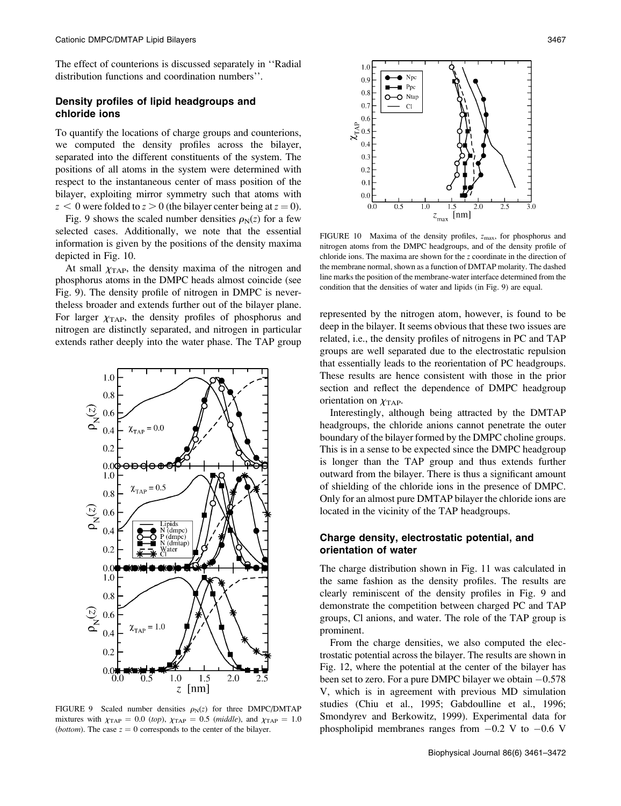The effect of counterions is discussed separately in ''Radial distribution functions and coordination numbers''.

## Density profiles of lipid headgroups and chloride ions

To quantify the locations of charge groups and counterions, we computed the density profiles across the bilayer, separated into the different constituents of the system. The positions of all atoms in the system were determined with respect to the instantaneous center of mass position of the bilayer, exploiting mirror symmetry such that atoms with  $z < 0$  were folded to  $z > 0$  (the bilayer center being at  $z = 0$ ).

Fig. 9 shows the scaled number densities  $\rho_N(z)$  for a few selected cases. Additionally, we note that the essential information is given by the positions of the density maxima depicted in Fig. 10.

At small  $\chi_{TAP}$ , the density maxima of the nitrogen and phosphorus atoms in the DMPC heads almost coincide (see Fig. 9). The density profile of nitrogen in DMPC is nevertheless broader and extends further out of the bilayer plane. For larger  $\chi_{\text{TAP}}$ , the density profiles of phosphorus and nitrogen are distinctly separated, and nitrogen in particular extends rather deeply into the water phase. The TAP group



FIGURE 9 Scaled number densities  $\rho_N(z)$  for three DMPC/DMTAP mixtures with  $\chi_{\text{TAP}} = 0.0$  (top),  $\chi_{\text{TAP}} = 0.5$  (middle), and  $\chi_{\text{TAP}} = 1.0$ (*bottom*). The case  $z = 0$  corresponds to the center of the bilayer.



FIGURE 10 Maxima of the density profiles,  $z_{\text{max}}$ , for phosphorus and nitrogen atoms from the DMPC headgroups, and of the density profile of chloride ions. The maxima are shown for the z coordinate in the direction of the membrane normal, shown as a function of DMTAP molarity. The dashed line marks the position of the membrane-water interface determined from the condition that the densities of water and lipids (in Fig. 9) are equal.

represented by the nitrogen atom, however, is found to be deep in the bilayer. It seems obvious that these two issues are related, i.e., the density profiles of nitrogens in PC and TAP groups are well separated due to the electrostatic repulsion that essentially leads to the reorientation of PC headgroups. These results are hence consistent with those in the prior section and reflect the dependence of DMPC headgroup orientation on  $\chi_{\text{TAP}}$ .

Interestingly, although being attracted by the DMTAP headgroups, the chloride anions cannot penetrate the outer boundary of the bilayer formed by the DMPC choline groups. This is in a sense to be expected since the DMPC headgroup is longer than the TAP group and thus extends further outward from the bilayer. There is thus a significant amount of shielding of the chloride ions in the presence of DMPC. Only for an almost pure DMTAP bilayer the chloride ions are located in the vicinity of the TAP headgroups.

## Charge density, electrostatic potential, and orientation of water

The charge distribution shown in Fig. 11 was calculated in the same fashion as the density profiles. The results are clearly reminiscent of the density profiles in Fig. 9 and demonstrate the competition between charged PC and TAP groups, Cl anions, and water. The role of the TAP group is prominent.

From the charge densities, we also computed the electrostatic potential across the bilayer. The results are shown in Fig. 12, where the potential at the center of the bilayer has been set to zero. For a pure DMPC bilayer we obtain  $-0.578$ V, which is in agreement with previous MD simulation studies (Chiu et al., 1995; Gabdoulline et al., 1996; Smondyrev and Berkowitz, 1999). Experimental data for phospholipid membranes ranges from  $-0.2$  V to  $-0.6$  V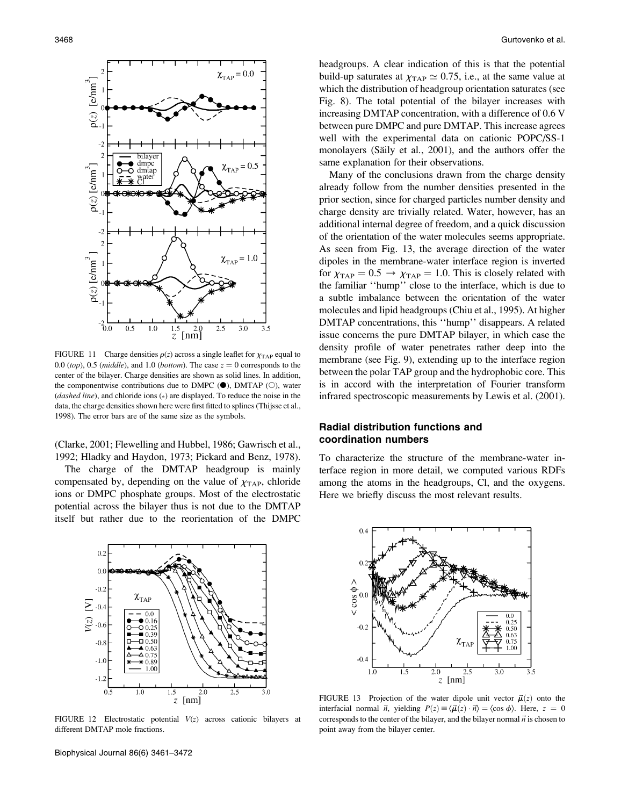

FIGURE 11 Charge densities  $\rho(z)$  across a single leaflet for  $\chi_{TAP}$  equal to 0.0 (top), 0.5 (middle), and 1.0 (bottom). The case  $z = 0$  corresponds to the center of the bilayer. Charge densities are shown as solid lines. In addition, the componentwise contributions due to DMPC  $(①)$ , DMTAP  $(①)$ , water (dashed line), and chloride ions (\*) are displayed. To reduce the noise in the data, the charge densities shown here were first fitted to splines (Thijsse et al., 1998). The error bars are of the same size as the symbols.

(Clarke, 2001; Flewelling and Hubbel, 1986; Gawrisch et al., 1992; Hladky and Haydon, 1973; Pickard and Benz, 1978).

The charge of the DMTAP headgroup is mainly compensated by, depending on the value of  $\chi_{\text{TAP}}$ , chloride ions or DMPC phosphate groups. Most of the electrostatic potential across the bilayer thus is not due to the DMTAP itself but rather due to the reorientation of the DMPC



FIGURE 12 Electrostatic potential V(z) across cationic bilayers at different DMTAP mole fractions.

Biophysical Journal 86(6) 3461–3472

headgroups. A clear indication of this is that the potential build-up saturates at  $\chi_{\text{TAP}} \simeq 0.75$ , i.e., at the same value at which the distribution of headgroup orientation saturates (see Fig. 8). The total potential of the bilayer increases with increasing DMTAP concentration, with a difference of 0.6 V between pure DMPC and pure DMTAP. This increase agrees well with the experimental data on cationic POPC/SS-1 monolayers (Säily et al., 2001), and the authors offer the same explanation for their observations.

Many of the conclusions drawn from the charge density already follow from the number densities presented in the prior section, since for charged particles number density and charge density are trivially related. Water, however, has an additional internal degree of freedom, and a quick discussion of the orientation of the water molecules seems appropriate. As seen from Fig. 13, the average direction of the water dipoles in the membrane-water interface region is inverted for  $\chi_{\text{TAP}} = 0.5 \rightarrow \chi_{\text{TAP}} = 1.0$ . This is closely related with the familiar ''hump'' close to the interface, which is due to a subtle imbalance between the orientation of the water molecules and lipid headgroups (Chiu et al., 1995). At higher DMTAP concentrations, this ''hump'' disappears. A related issue concerns the pure DMTAP bilayer, in which case the density profile of water penetrates rather deep into the membrane (see Fig. 9), extending up to the interface region between the polar TAP group and the hydrophobic core. This is in accord with the interpretation of Fourier transform infrared spectroscopic measurements by Lewis et al. (2001).

## Radial distribution functions and coordination numbers

To characterize the structure of the membrane-water interface region in more detail, we computed various RDFs among the atoms in the headgroups, Cl, and the oxygens. Here we briefly discuss the most relevant results.



FIGURE 13 Projection of the water dipole unit vector  $\vec{\mu}(z)$  onto the interfacial normal  $\vec{n}$ , yielding  $P(z) \equiv \langle \vec{\mu}(z) \cdot \vec{n} \rangle = \langle \cos \phi \rangle$ . Here,  $z = 0$ corresponds to the center of the bilayer, and the bilayer normal  $\vec{n}$  is chosen to point away from the bilayer center.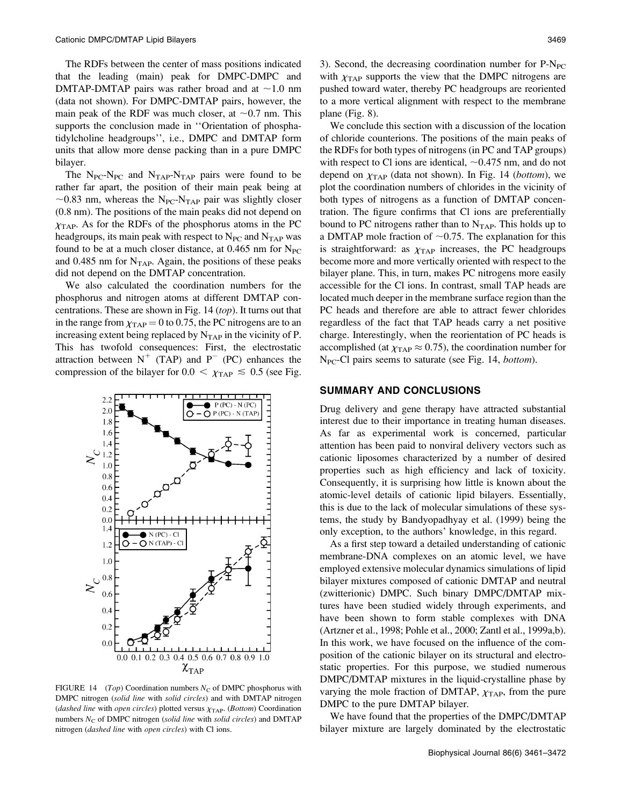The RDFs between the center of mass positions indicated that the leading (main) peak for DMPC-DMPC and DMTAP-DMTAP pairs was rather broad and at  $\sim$ 1.0 nm (data not shown). For DMPC-DMTAP pairs, however, the main peak of the RDF was much closer, at  $\sim 0.7$  nm. This supports the conclusion made in ''Orientation of phosphatidylcholine headgroups'', i.e., DMPC and DMTAP form units that allow more dense packing than in a pure DMPC bilayer.

The  $N_{PC}-N_{PC}$  and  $N_{TAP}-N_{TAP}$  pairs were found to be rather far apart, the position of their main peak being at  $\sim$ 0.83 nm, whereas the N<sub>PC</sub>-N<sub>TAP</sub> pair was slightly closer (0.8 nm). The positions of the main peaks did not depend on  $\chi_{\text{TAP}}$ . As for the RDFs of the phosphorus atoms in the PC headgroups, its main peak with respect to  $N_{PC}$  and  $N_{TAP}$  was found to be at a much closer distance, at 0.465 nm for  $N_{\text{PC}}$ and 0.485 nm for  $N_{TAP}$ . Again, the positions of these peaks did not depend on the DMTAP concentration.

We also calculated the coordination numbers for the phosphorus and nitrogen atoms at different DMTAP concentrations. These are shown in Fig. 14  $(top)$ . It turns out that in the range from  $\chi_{\text{TAP}} = 0$  to 0.75, the PC nitrogens are to an increasing extent being replaced by  $N_{TAP}$  in the vicinity of P. This has twofold consequences: First, the electrostatic attraction between  $N^+$  (TAP) and P<sup>-</sup> (PC) enhances the compression of the bilayer for  $0.0 < \chi_{TAP} \leq 0.5$  (see Fig.



FIGURE 14 (Top) Coordination numbers  $N_C$  of DMPC phosphorus with DMPC nitrogen (solid line with solid circles) and with DMTAP nitrogen (dashed line with open circles) plotted versus  $\chi_{\text{TAP}}$ . (Bottom) Coordination numbers  $N_C$  of DMPC nitrogen (solid line with solid circles) and DMTAP nitrogen (dashed line with open circles) with Cl ions.

3). Second, the decreasing coordination number for  $P-N_{PC}$ with  $\chi_{\text{TAP}}$  supports the view that the DMPC nitrogens are pushed toward water, thereby PC headgroups are reoriented to a more vertical alignment with respect to the membrane plane (Fig. 8).

We conclude this section with a discussion of the location of chloride counterions. The positions of the main peaks of the RDFs for both types of nitrogens (in PC and TAP groups) with respect to Cl ions are identical,  $\sim 0.475$  nm, and do not depend on  $\chi_{\text{TAP}}$  (data not shown). In Fig. 14 (bottom), we plot the coordination numbers of chlorides in the vicinity of both types of nitrogens as a function of DMTAP concentration. The figure confirms that Cl ions are preferentially bound to PC nitrogens rather than to  $N_{\text{TAP}}$ . This holds up to a DMTAP mole fraction of  $\sim$  0.75. The explanation for this is straightforward: as  $\chi_{\text{TAP}}$  increases, the PC headgroups become more and more vertically oriented with respect to the bilayer plane. This, in turn, makes PC nitrogens more easily accessible for the Cl ions. In contrast, small TAP heads are located much deeper in the membrane surface region than the PC heads and therefore are able to attract fewer chlorides regardless of the fact that TAP heads carry a net positive charge. Interestingly, when the reorientation of PC heads is accomplished (at  $\chi_{\text{TAP}} \approx 0.75$ ), the coordination number for  $N_{\text{PC}}$ -Cl pairs seems to saturate (see Fig. 14, *bottom*).

#### SUMMARY AND CONCLUSIONS

Drug delivery and gene therapy have attracted substantial interest due to their importance in treating human diseases. As far as experimental work is concerned, particular attention has been paid to nonviral delivery vectors such as cationic liposomes characterized by a number of desired properties such as high efficiency and lack of toxicity. Consequently, it is surprising how little is known about the atomic-level details of cationic lipid bilayers. Essentially, this is due to the lack of molecular simulations of these systems, the study by Bandyopadhyay et al. (1999) being the only exception, to the authors' knowledge, in this regard.

As a first step toward a detailed understanding of cationic membrane-DNA complexes on an atomic level, we have employed extensive molecular dynamics simulations of lipid bilayer mixtures composed of cationic DMTAP and neutral (zwitterionic) DMPC. Such binary DMPC/DMTAP mixtures have been studied widely through experiments, and have been shown to form stable complexes with DNA (Artzner et al., 1998; Pohle et al., 2000; Zantl et al., 1999a,b). In this work, we have focused on the influence of the composition of the cationic bilayer on its structural and electrostatic properties. For this purpose, we studied numerous DMPC/DMTAP mixtures in the liquid-crystalline phase by varying the mole fraction of DMTAP,  $\chi_{\text{TAP}}$ , from the pure DMPC to the pure DMTAP bilayer.

We have found that the properties of the DMPC/DMTAP bilayer mixture are largely dominated by the electrostatic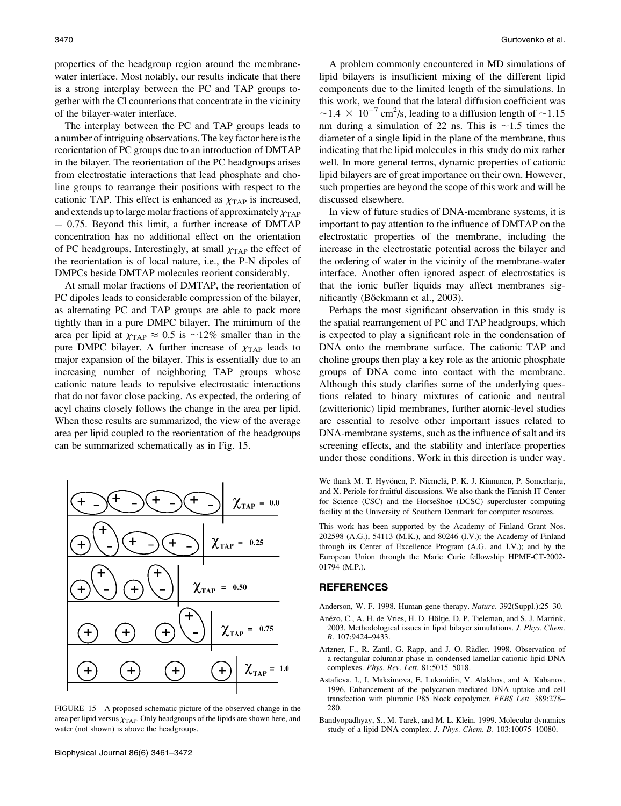properties of the headgroup region around the membranewater interface. Most notably, our results indicate that there is a strong interplay between the PC and TAP groups together with the Cl counterions that concentrate in the vicinity of the bilayer-water interface.

The interplay between the PC and TAP groups leads to a number of intriguing observations. The key factor here is the reorientation of PC groups due to an introduction of DMTAP in the bilayer. The reorientation of the PC headgroups arises from electrostatic interactions that lead phosphate and choline groups to rearrange their positions with respect to the cationic TAP. This effect is enhanced as  $\chi_{\text{TAP}}$  is increased, and extends up to large molar fractions of approximately  $\chi_{\rm TAP}$  $= 0.75$ . Beyond this limit, a further increase of DMTAP concentration has no additional effect on the orientation of PC headgroups. Interestingly, at small  $\chi_{\text{TAP}}$  the effect of the reorientation is of local nature, i.e., the P-N dipoles of DMPCs beside DMTAP molecules reorient considerably.

At small molar fractions of DMTAP, the reorientation of PC dipoles leads to considerable compression of the bilayer, as alternating PC and TAP groups are able to pack more tightly than in a pure DMPC bilayer. The minimum of the area per lipid at  $\chi_{\text{TAP}} \approx 0.5$  is  $\sim 12\%$  smaller than in the pure DMPC bilayer. A further increase of  $\chi_{\text{TAP}}$  leads to major expansion of the bilayer. This is essentially due to an increasing number of neighboring TAP groups whose cationic nature leads to repulsive electrostatic interactions that do not favor close packing. As expected, the ordering of acyl chains closely follows the change in the area per lipid. When these results are summarized, the view of the average area per lipid coupled to the reorientation of the headgroups can be summarized schematically as in Fig. 15.



FIGURE 15 A proposed schematic picture of the observed change in the area per lipid versus  $\chi_{\text{TAP}}$ . Only headgroups of the lipids are shown here, and water (not shown) is above the headgroups.

A problem commonly encountered in MD simulations of lipid bilayers is insufficient mixing of the different lipid components due to the limited length of the simulations. In this work, we found that the lateral diffusion coefficient was  $\sim$ 1.4  $\times$  10<sup>-7</sup> cm<sup>2</sup>/s, leading to a diffusion length of  $\sim$ 1.15 nm during a simulation of 22 ns. This is  $\sim$ 1.5 times the diameter of a single lipid in the plane of the membrane, thus indicating that the lipid molecules in this study do mix rather well. In more general terms, dynamic properties of cationic lipid bilayers are of great importance on their own. However, such properties are beyond the scope of this work and will be discussed elsewhere.

In view of future studies of DNA-membrane systems, it is important to pay attention to the influence of DMTAP on the electrostatic properties of the membrane, including the increase in the electrostatic potential across the bilayer and the ordering of water in the vicinity of the membrane-water interface. Another often ignored aspect of electrostatics is that the ionic buffer liquids may affect membranes significantly (Böckmann et al., 2003).

Perhaps the most significant observation in this study is the spatial rearrangement of PC and TAP headgroups, which is expected to play a significant role in the condensation of DNA onto the membrane surface. The cationic TAP and choline groups then play a key role as the anionic phosphate groups of DNA come into contact with the membrane. Although this study clarifies some of the underlying questions related to binary mixtures of cationic and neutral (zwitterionic) lipid membranes, further atomic-level studies are essential to resolve other important issues related to DNA-membrane systems, such as the influence of salt and its screening effects, and the stability and interface properties under those conditions. Work in this direction is under way.

We thank M. T. Hyvönen, P. Niemelä, P. K. J. Kinnunen, P. Somerharju, and X. Periole for fruitful discussions. We also thank the Finnish IT Center for Science (CSC) and the HorseShoe (DCSC) supercluster computing facility at the University of Southern Denmark for computer resources.

This work has been supported by the Academy of Finland Grant Nos. 202598 (A.G.), 54113 (M.K.), and 80246 (I.V.); the Academy of Finland through its Center of Excellence Program (A.G. and I.V.); and by the European Union through the Marie Curie fellowship HPMF-CT-2002- 01794 (M.P.).

## **REFERENCES**

Anderson, W. F. 1998. Human gene therapy. Nature. 392(Suppl.):25–30.

- Anézo, C., A. H. de Vries, H. D. Höltje, D. P. Tieleman, and S. J. Marrink. 2003. Methodological issues in lipid bilayer simulations. J. Phys. Chem. B. 107:9424–9433.
- Artzner, F., R. Zantl, G. Rapp, and J. O. Rädler. 1998. Observation of a rectangular columnar phase in condensed lamellar cationic lipid-DNA complexes. Phys. Rev. Lett. 81:5015–5018.
- Astafieva, I., I. Maksimova, E. Lukanidin, V. Alakhov, and A. Kabanov. 1996. Enhancement of the polycation-mediated DNA uptake and cell transfection with pluronic P85 block copolymer. FEBS Lett. 389:278– 280.
- Bandyopadhyay, S., M. Tarek, and M. L. Klein. 1999. Molecular dynamics study of a lipid-DNA complex. J. Phys. Chem. B. 103:10075–10080.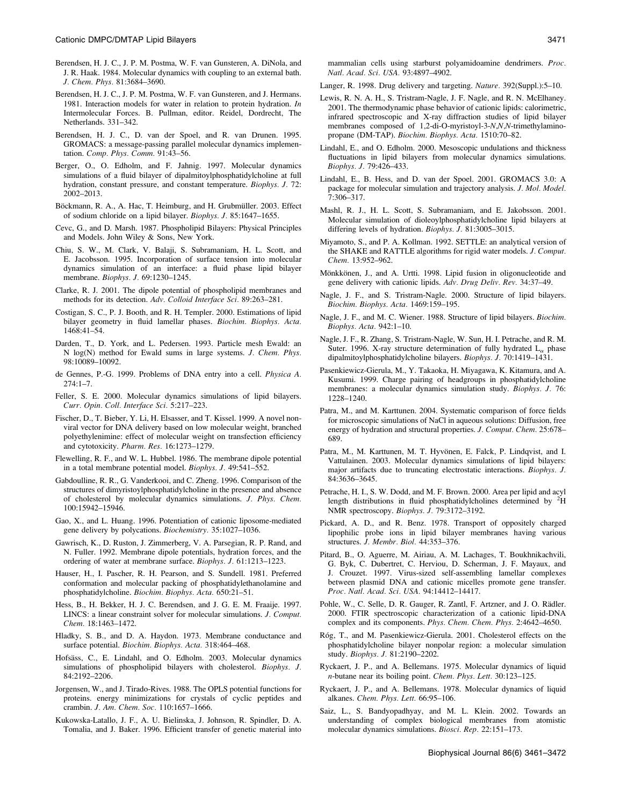- Berendsen, H. J. C., J. P. M. Postma, W. F. van Gunsteren, A. DiNola, and J. R. Haak. 1984. Molecular dynamics with coupling to an external bath. J. Chem. Phys. 81:3684–3690.
- Berendsen, H. J. C., J. P. M. Postma, W. F. van Gunsteren, and J. Hermans. 1981. Interaction models for water in relation to protein hydration. In Intermolecular Forces. B. Pullman, editor. Reidel, Dordrecht, The Netherlands. 331–342.
- Berendsen, H. J. C., D. van der Spoel, and R. van Drunen. 1995. GROMACS: a message-passing parallel molecular dynamics implementation. Comp. Phys. Comm. 91:43–56.
- Berger, O., O. Edholm, and F. Jahnig. 1997. Molecular dynamics simulations of a fluid bilayer of dipalmitoylphosphatidylcholine at full hydration, constant pressure, and constant temperature. Biophys. J. 72: 2002–2013.
- Böckmann, R. A., A. Hac, T. Heimburg, and H. Grubmüller. 2003. Effect of sodium chloride on a lipid bilayer. Biophys. J. 85:1647–1655.
- Cevc, G., and D. Marsh. 1987. Phospholipid Bilayers: Physical Principles and Models. John Wiley & Sons, New York.
- Chiu, S. W., M. Clark, V. Balaji, S. Subramaniam, H. L. Scott, and E. Jacobsson. 1995. Incorporation of surface tension into molecular dynamics simulation of an interface: a fluid phase lipid bilayer membrane. Biophys. J. 69:1230–1245.
- Clarke, R. J. 2001. The dipole potential of phospholipid membranes and methods for its detection. Adv. Colloid Interface Sci. 89:263–281.
- Costigan, S. C., P. J. Booth, and R. H. Templer. 2000. Estimations of lipid bilayer geometry in fluid lamellar phases. Biochim. Biophys. Acta. 1468:41–54.
- Darden, T., D. York, and L. Pedersen. 1993. Particle mesh Ewald: an N log(N) method for Ewald sums in large systems. J. Chem. Phys. 98:10089–10092.
- de Gennes, P.-G. 1999. Problems of DNA entry into a cell. Physica A. 274:1–7.
- Feller, S. E. 2000. Molecular dynamics simulations of lipid bilayers. Curr. Opin. Coll. Interface Sci. 5:217–223.
- Fischer, D., T. Bieber, Y. Li, H. Elsasser, and T. Kissel. 1999. A novel nonviral vector for DNA delivery based on low molecular weight, branched polyethylenimine: effect of molecular weight on transfection efficiency and cytotoxicity. Pharm. Res. 16:1273–1279.
- Flewelling, R. F., and W. L. Hubbel. 1986. The membrane dipole potential in a total membrane potential model. Biophys. J. 49:541–552.
- Gabdoulline, R. R., G. Vanderkooi, and C. Zheng. 1996. Comparison of the structures of dimyristoylphosphatidylcholine in the presence and absence of cholesterol by molecular dynamics simulations. J. Phys. Chem. 100:15942–15946.
- Gao, X., and L. Huang. 1996. Potentiation of cationic liposome-mediated gene delivery by polycations. Biochemistry. 35:1027-1036.
- Gawrisch, K., D. Ruston, J. Zimmerberg, V. A. Parsegian, R. P. Rand, and N. Fuller. 1992. Membrane dipole potentials, hydration forces, and the ordering of water at membrane surface. Biophys. J. 61:1213–1223.
- Hauser, H., I. Pascher, R. H. Pearson, and S. Sundell. 1981. Preferred conformation and molecular packing of phosphatidylethanolamine and phosphatidylcholine. Biochim. Biophys. Acta. 650:21–51.
- Hess, B., H. Bekker, H. J. C. Berendsen, and J. G. E. M. Fraaije. 1997. LINCS: a linear constraint solver for molecular simulations. J. Comput. Chem. 18:1463–1472.
- Hladky, S. B., and D. A. Haydon. 1973. Membrane conductance and surface potential. Biochim. Biophys. Acta. 318:464–468.
- Hofsäss, C., E. Lindahl, and O. Edholm. 2003. Molecular dynamics simulations of phospholipid bilayers with cholesterol. Biophys. J. 84:2192–2206.
- Jorgensen, W., and J. Tirado-Rives. 1988. The OPLS potential functions for proteins. energy minimizations for crystals of cyclic peptides and crambin. J. Am. Chem. Soc. 110:1657–1666.
- Kukowska-Latallo, J. F., A. U. Bielinska, J. Johnson, R. Spindler, D. A. Tomalia, and J. Baker. 1996. Efficient transfer of genetic material into

mammalian cells using starburst polyamidoamine dendrimers. Proc. Natl. Acad. Sci. USA. 93:4897–4902.

- Langer, R. 1998. Drug delivery and targeting. Nature. 392(Suppl.):5–10.
- Lewis, R. N. A. H., S. Tristram-Nagle, J. F. Nagle, and R. N. McElhaney. 2001. The thermodynamic phase behavior of cationic lipids: calorimetric, infrared spectroscopic and X-ray diffraction studies of lipid bilayer membranes composed of 1,2-di-O-myristoyl-3-N,N,N-trimethylaminopropane (DM-TAP). Biochim. Biophys. Acta. 1510:70–82.
- Lindahl, E., and O. Edholm. 2000. Mesoscopic undulations and thickness fluctuations in lipid bilayers from molecular dynamics simulations. Biophys. J. 79:426–433.
- Lindahl, E., B. Hess, and D. van der Spoel. 2001. GROMACS 3.0: A package for molecular simulation and trajectory analysis. J. Mol. Model. 7:306–317.
- Mashl, R. J., H. L. Scott, S. Subramaniam, and E. Jakobsson. 2001. Molecular simulation of dioleoylphosphatidylcholine lipid bilayers at differing levels of hydration. Biophys. J. 81:3005–3015.
- Miyamoto, S., and P. A. Kollman. 1992. SETTLE: an analytical version of the SHAKE and RATTLE algorithms for rigid water models. J. Comput. Chem. 13:952–962.
- Mönkkönen, J., and A. Urtti. 1998. Lipid fusion in oligonucleotide and gene delivery with cationic lipids. Adv. Drug Deliv. Rev. 34:37–49.
- Nagle, J. F., and S. Tristram-Nagle. 2000. Structure of lipid bilayers. Biochim. Biophys. Acta. 1469:159–195.
- Nagle, J. F., and M. C. Wiener. 1988. Structure of lipid bilayers. Biochim. Biophys. Acta. 942:1–10.
- Nagle, J. F., R. Zhang, S. Tristram-Nagle, W. Sun, H. I. Petrache, and R. M. Suter. 1996. X-ray structure determination of fully hydrated  $L_{\alpha}$  phase dipalmitoylphosphatidylcholine bilayers. Biophys. J. 70:1419–1431.
- Pasenkiewicz-Gierula, M., Y. Takaoka, H. Miyagawa, K. Kitamura, and A. Kusumi. 1999. Charge pairing of headgroups in phosphatidylcholine membranes: a molecular dynamics simulation study. Biophys. J. 76: 1228–1240.
- Patra, M., and M. Karttunen. 2004. Systematic comparison of force fields for microscopic simulations of NaCl in aqueous solutions: Diffusion, free energy of hydration and structural properties. J. Comput. Chem. 25:678– 689.
- Patra, M., M. Karttunen, M. T. Hyvönen, E. Falck, P. Lindqvist, and I. Vattulainen. 2003. Molecular dynamics simulations of lipid bilayers: major artifacts due to truncating electrostatic interactions. Biophys. J. 84:3636–3645.
- Petrache, H. I., S. W. Dodd, and M. F. Brown. 2000. Area per lipid and acyl length distributions in fluid phosphatidylcholines determined by  $2H$ NMR spectroscopy. Biophys. J. 79:3172–3192.
- Pickard, A. D., and R. Benz. 1978. Transport of oppositely charged lipophilic probe ions in lipid bilayer membranes having various structures. J. Membr. Biol. 44:353–376.
- Pitard, B., O. Aguerre, M. Airiau, A. M. Lachages, T. Boukhnikachvili, G. Byk, C. Dubertret, C. Herviou, D. Scherman, J. F. Mayaux, and J. Crouzet. 1997. Virus-sized self-assembling lamellar complexes between plasmid DNA and cationic micelles promote gene transfer. Proc. Natl. Acad. Sci. USA. 94:14412–14417.
- Pohle, W., C. Selle, D. R. Gauger, R. Zantl, F. Artzner, and J. O. Rädler. 2000. FTIR spectroscopic characterization of a cationic lipid-DNA complex and its components. Phys. Chem. Chem. Phys. 2:4642–4650.
- Róg, T., and M. Pasenkiewicz-Gierula. 2001. Cholesterol effects on the phosphatidylcholine bilayer nonpolar region: a molecular simulation study. Biophys. J. 81:2190–2202.
- Ryckaert, J. P., and A. Bellemans. 1975. Molecular dynamics of liquid n-butane near its boiling point. Chem. Phys. Lett. 30:123–125.
- Ryckaert, J. P., and A. Bellemans. 1978. Molecular dynamics of liquid alkanes. Chem. Phys. Lett. 66:95–106.
- Saiz, L., S. Bandyopadhyay, and M. L. Klein. 2002. Towards an understanding of complex biological membranes from atomistic molecular dynamics simulations. *Biosci. Rep.* 22:151-173.